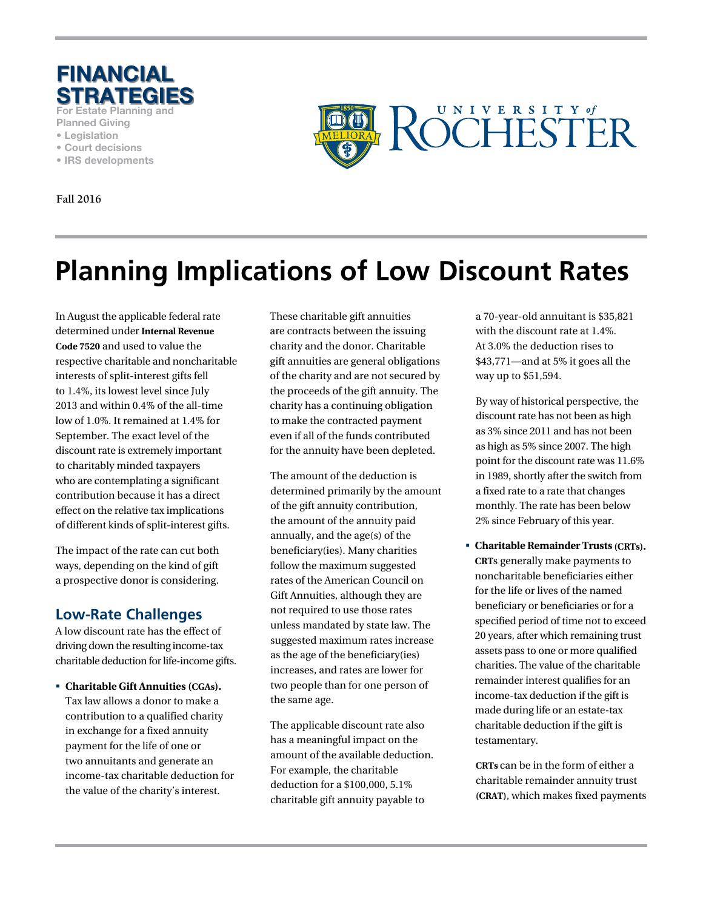

**For Estate Planning and** 

- **Planned Giving**
- **Legislation**
- **Court decisions**
- **IRS developments**

**Fall 2016**



# **Planning Implications of Low Discount Rates**

In August the applicable federal rate determined under **Internal Revenue Code 7520** and used to value the respective charitable and noncharitable interests of split-interest gifts fell to 1.4%, its lowest level since July 2013 and within 0.4% of the all-time low of 1.0%. It remained at 1.4% for September. The exact level of the discount rate is extremely important to charitably minded taxpayers who are contemplating a significant contribution because it has a direct effect on the relative tax implications of different kinds of split-interest gifts.

The impact of the rate can cut both ways, depending on the kind of gift a prospective donor is considering.

### **Low-Rate Challenges**

A low discount rate has the effect of driving down the resulting income-tax charitable deduction for life-income gifts.

 **Charitable Gift Annuities (CGAs).**  Tax law allows a donor to make a contribution to a qualified charity in exchange for a fixed annuity payment for the life of one or two annuitants and generate an income-tax charitable deduction for the value of the charity's interest.

These charitable gift annuities are contracts between the issuing charity and the donor. Charitable gift annuities are general obligations of the charity and are not secured by the proceeds of the gift annuity. The charity has a continuing obligation to make the contracted payment even if all of the funds contributed for the annuity have been depleted.

The amount of the deduction is determined primarily by the amount of the gift annuity contribution, the amount of the annuity paid annually, and the age(s) of the beneficiary(ies). Many charities follow the maximum suggested rates of the American Council on Gift Annuities, although they are not required to use those rates unless mandated by state law. The suggested maximum rates increase as the age of the beneficiary(ies) increases, and rates are lower for two people than for one person of the same age.

The applicable discount rate also has a meaningful impact on the amount of the available deduction. For example, the charitable deduction for a \$100,000, 5.1% charitable gift annuity payable to

a 70-year-old annuitant is \$35,821 with the discount rate at 1.4%. At 3.0% the deduction rises to \$43,771—and at 5% it goes all the way up to \$51,594.

By way of historical perspective, the discount rate has not been as high as 3% since 2011 and has not been as high as 5% since 2007. The high point for the discount rate was 11.6% in 1989, shortly after the switch from a fixed rate to a rate that changes monthly. The rate has been below 2% since February of this year.

 **Charitable Remainder Trusts (CRTs). CRT**s generally make payments to noncharitable beneficiaries either for the life or lives of the named beneficiary or beneficiaries or for a specified period of time not to exceed 20 years, after which remaining trust assets pass to one or more qualified charities. The value of the charitable remainder interest qualifies for an income-tax deduction if the gift is made during life or an estate-tax charitable deduction if the gift is testamentary.

**CRTs** can be in the form of either a charitable remainder annuity trust **(CRAT)**, which makes fixed payments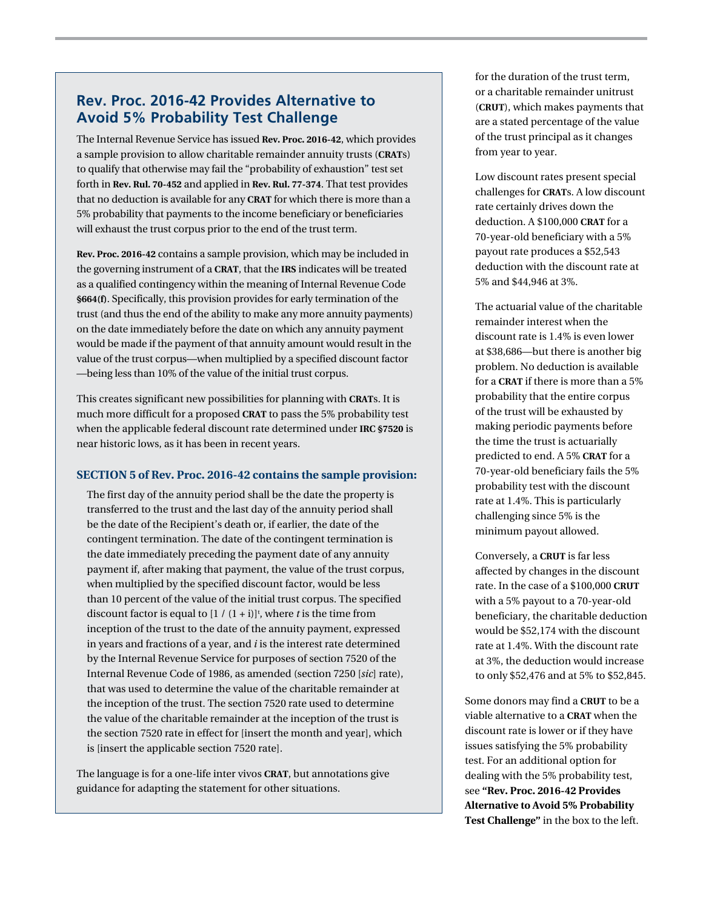### **Rev. Proc. 2016-42 Provides Alternative to Avoid 5% Probability Test Challenge**

The Internal Revenue Service has issued **Rev. Proc. 2016-42**, which provides a sample provision to allow charitable remainder annuity trusts (**CRAT**s) to qualify that otherwise may fail the "probability of exhaustion" test set forth in **Rev. Rul. 70-452** and applied in **Rev. Rul. 77-374**. That test provides that no deduction is available for any **CRAT** for which there is more than a 5% probability that payments to the income beneficiary or beneficiaries will exhaust the trust corpus prior to the end of the trust term.

**Rev. Proc. 2016-42** contains a sample provision, which may be included in the governing instrument of a **CRAT**, that the **IRS** indicates will be treated as a qualified contingency within the meaning of Internal Revenue Code **§664(f)**. Specifically, this provision provides for early termination of the trust (and thus the end of the ability to make any more annuity payments) on the date immediately before the date on which any annuity payment would be made if the payment of that annuity amount would result in the value of the trust corpus—when multiplied by a specified discount factor —being less than 10% of the value of the initial trust corpus.

This creates significant new possibilities for planning with **CRAT**s. It is much more difficult for a proposed **CRAT** to pass the 5% probability test when the applicable federal discount rate determined under **IRC §7520** is near historic lows, as it has been in recent years.

#### **SECTION 5 of Rev. Proc. 2016-42 contains the sample provision:**

The first day of the annuity period shall be the date the property is transferred to the trust and the last day of the annuity period shall be the date of the Recipient's death or, if earlier, the date of the contingent termination. The date of the contingent termination is the date immediately preceding the payment date of any annuity payment if, after making that payment, the value of the trust corpus, when multiplied by the specified discount factor, would be less than 10 percent of the value of the initial trust corpus. The specified discount factor is equal to  $[1/(1+i)]^t$ , where *t* is the time from inception of the trust to the date of the annuity payment, expressed in years and fractions of a year, and *i* is the interest rate determined by the Internal Revenue Service for purposes of section 7520 of the Internal Revenue Code of 1986, as amended (section 7250 [*sic*] rate), that was used to determine the value of the charitable remainder at the inception of the trust. The section 7520 rate used to determine the value of the charitable remainder at the inception of the trust is the section 7520 rate in effect for [insert the month and year], which is [insert the applicable section 7520 rate].

The language is for a one-life inter vivos **CRAT**, but annotations give guidance for adapting the statement for other situations.

for the duration of the trust term, or a charitable remainder unitrust (**CRUT**), which makes payments that are a stated percentage of the value of the trust principal as it changes from year to year.

Low discount rates present special challenges for **CRAT**s. A low discount rate certainly drives down the deduction. A \$100,000 **CRAT** for a 70-year-old beneficiary with a 5% payout rate produces a \$52,543 deduction with the discount rate at 5% and \$44,946 at 3%.

The actuarial value of the charitable remainder interest when the discount rate is 1.4% is even lower at \$38,686—but there is another big problem. No deduction is available for a **CRAT** if there is more than a 5% probability that the entire corpus of the trust will be exhausted by making periodic payments before the time the trust is actuarially predicted to end. A 5% **CRAT** for a 70-year-old beneficiary fails the 5% probability test with the discount rate at 1.4%. This is particularly challenging since 5% is the minimum payout allowed.

Conversely, a **CRUT** is far less affected by changes in the discount rate. In the case of a \$100,000 **CRUT** with a 5% payout to a 70-year-old beneficiary, the charitable deduction would be \$52,174 with the discount rate at 1.4%. With the discount rate at 3%, the deduction would increase to only \$52,476 and at 5% to \$52,845.

Some donors may find a **CRUT** to be a viable alternative to a **CRAT** when the discount rate is lower or if they have issues satisfying the 5% probability test. For an additional option for dealing with the 5% probability test, see **"Rev. Proc. 2016-42 Provides Alternative to Avoid 5% Probability Test Challenge"** in the box to the left.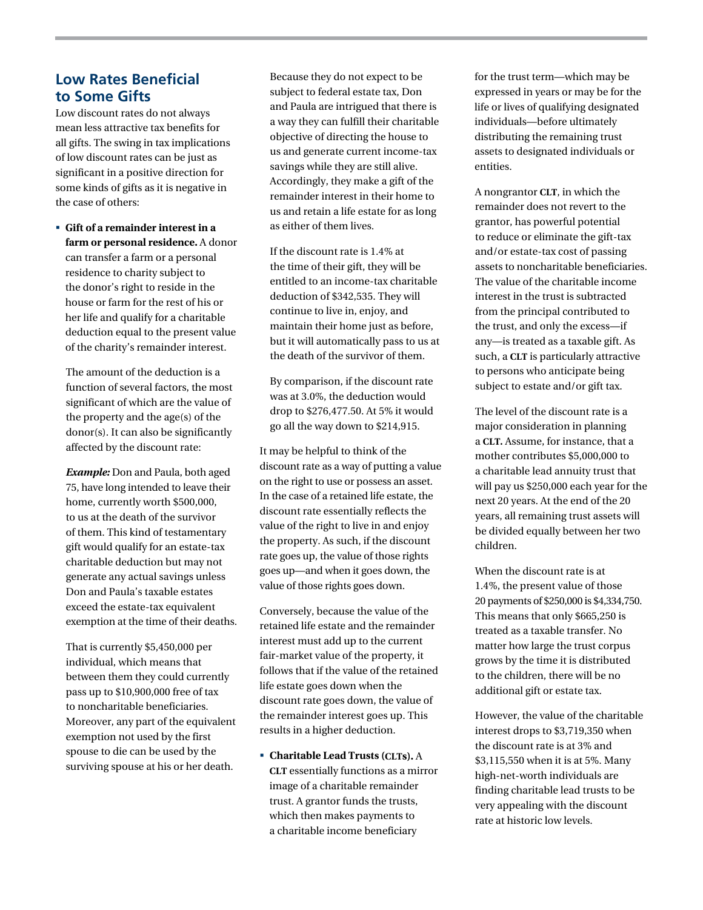#### **Low Rates Beneficial to Some Gifts**

Low discount rates do not always mean less attractive tax benefits for all gifts. The swing in tax implications of low discount rates can be just as significant in a positive direction for some kinds of gifts as it is negative in the case of others:

 **Gift of a remainder interest in a farm or personal residence.** A donor can transfer a farm or a personal residence to charity subject to the donor's right to reside in the house or farm for the rest of his or her life and qualify for a charitable deduction equal to the present value of the charity's remainder interest.

The amount of the deduction is a function of several factors, the most significant of which are the value of the property and the age(s) of the donor(s). It can also be significantly affected by the discount rate:

*Example:* Don and Paula, both aged 75, have long intended to leave their home, currently worth \$500,000, to us at the death of the survivor of them. This kind of testamentary gift would qualify for an estate-tax charitable deduction but may not generate any actual savings unless Don and Paula's taxable estates exceed the estate-tax equivalent exemption at the time of their deaths.

That is currently \$5,450,000 per individual, which means that between them they could currently pass up to \$10,900,000 free of tax to noncharitable beneficiaries. Moreover, any part of the equivalent exemption not used by the first spouse to die can be used by the surviving spouse at his or her death.

Because they do not expect to be subject to federal estate tax, Don and Paula are intrigued that there is a way they can fulfill their charitable objective of directing the house to us and generate current income-tax savings while they are still alive. Accordingly, they make a gift of the remainder interest in their home to us and retain a life estate for as long as either of them lives.

If the discount rate is 1.4% at the time of their gift, they will be entitled to an income-tax charitable deduction of \$342,535. They will continue to live in, enjoy, and maintain their home just as before, but it will automatically pass to us at the death of the survivor of them.

By comparison, if the discount rate was at 3.0%, the deduction would drop to \$276,477.50. At 5% it would go all the way down to \$214,915.

It may be helpful to think of the discount rate as a way of putting a value on the right to use or possess an asset. In the case of a retained life estate, the discount rate essentially reflects the value of the right to live in and enjoy the property. As such, if the discount rate goes up, the value of those rights goes up—and when it goes down, the value of those rights goes down.

Conversely, because the value of the retained life estate and the remainder interest must add up to the current fair-market value of the property, it follows that if the value of the retained life estate goes down when the discount rate goes down, the value of the remainder interest goes up. This results in a higher deduction.

 **Charitable Lead Trusts (CLTs).** A **CLT** essentially functions as a mirror image of a charitable remainder trust. A grantor funds the trusts, which then makes payments to a charitable income beneficiary

for the trust term—which may be expressed in years or may be for the life or lives of qualifying designated individuals—before ultimately distributing the remaining trust assets to designated individuals or entities.

A nongrantor **CLT**, in which the remainder does not revert to the grantor, has powerful potential to reduce or eliminate the gift-tax and/or estate-tax cost of passing assets to noncharitable beneficiaries. The value of the charitable income interest in the trust is subtracted from the principal contributed to the trust, and only the excess—if any—is treated as a taxable gift. As such, a **CLT** is particularly attractive to persons who anticipate being subject to estate and/or gift tax.

The level of the discount rate is a major consideration in planning a **CLT.** Assume, for instance, that a mother contributes \$5,000,000 to a charitable lead annuity trust that will pay us \$250,000 each year for the next 20 years. At the end of the 20 years, all remaining trust assets will be divided equally between her two children.

When the discount rate is at 1.4%, the present value of those 20 payments of \$250,000 is \$4,334,750. This means that only \$665,250 is treated as a taxable transfer. No matter how large the trust corpus grows by the time it is distributed to the children, there will be no additional gift or estate tax.

However, the value of the charitable interest drops to \$3,719,350 when the discount rate is at 3% and \$3,115,550 when it is at 5%. Many high-net-worth individuals are finding charitable lead trusts to be very appealing with the discount rate at historic low levels.